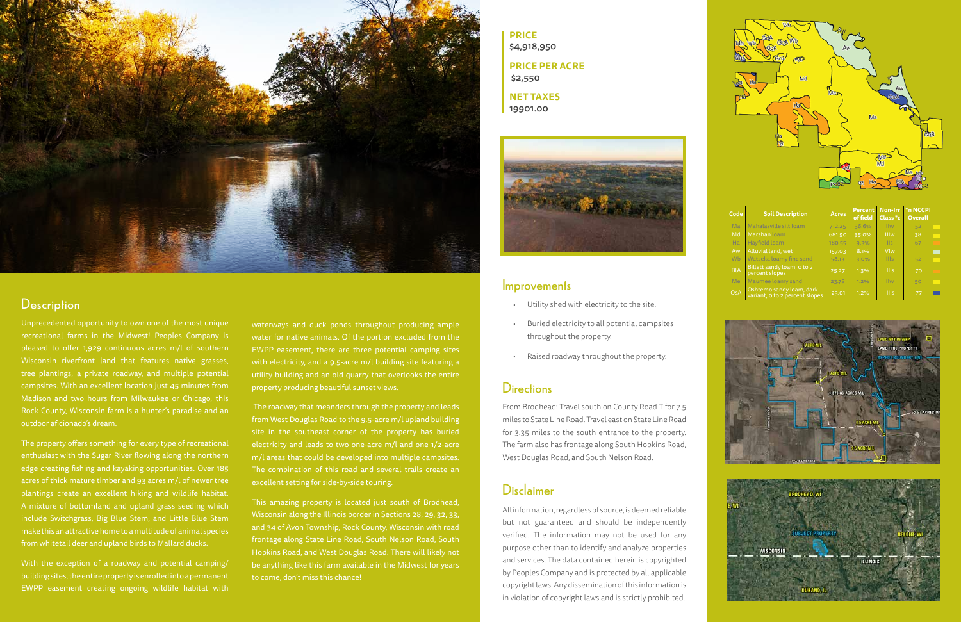

### **Description**

- Utility shed with electricity to the site.
- Buried electricity to all potential campsites throughout the property.
- Raised roadway throughout the property.

## **Directions**

| Code       | <b>Soil Description</b>                                    | <b>Acres</b> | <b>Percent</b><br>of field | Class <sup>*</sup> c | Non-Irr *n NCCPI<br><b>Overall</b> |  |
|------------|------------------------------------------------------------|--------------|----------------------------|----------------------|------------------------------------|--|
| Ma         | Mahalasville silt loam                                     | 712.25       | 36.6%                      | <b>IIw</b>           | 52                                 |  |
| Md         | Marshan loam                                               | 681.90       | 35.0%                      | <b>Illw</b>          | 38                                 |  |
| <b>Ha</b>  | Hayfield loam                                              | 180.55       | 9.3%                       | <b>IIs</b>           | 67                                 |  |
| Aw         | Alluvial land, wet                                         | 157.03       | 8.1%                       | Vlw                  |                                    |  |
| Wb         | Watseka loamy fine sand                                    | 58.13        | 3.0%                       | <b>IIIs</b>          | 52                                 |  |
| <b>BIA</b> | Billett sandy loam, o to 2<br>percent slopes               | 25.27        | 1.3%                       | <b>IIIs</b>          | 70                                 |  |
| Me         | Maumee loamy sand                                          | 23.78        | 1.2%                       | <b>IIw</b>           | 50                                 |  |
| OsA        | Oshtemo sandy loam, dark<br>variant, o to 2 percent slopes | 23.01        | 1.2%                       | <b>IIIs</b>          | 77                                 |  |





Unprecedented opportunity to own one of the most unique recreational farms in the Midwest! Peoples Company is pleased to offer 1,929 continuous acres m/l of southern Wisconsin riverfront land that features native grasses, tree plantings, a private roadway, and multiple potential campsites. With an excellent location just 45 minutes from Madison and two hours from Milwaukee or Chicago, this Rock County, Wisconsin farm is a hunter's paradise and an outdoor aficionado's dream.

The property offers something for every type of recreational enthusiast with the Sugar River flowing along the northern edge creating fishing and kayaking opportunities. Over 185 acres of thick mature timber and 93 acres m/l of newer tree plantings create an excellent hiking and wildlife habitat. A mixture of bottomland and upland grass seeding which include Switchgrass, Big Blue Stem, and Little Blue Stem make this an attractive home to a multitude of animal species from whitetail deer and upland birds to Mallard ducks.

With the exception of a roadway and potential camping/ building sites, the entire property is enrolled into a permanent EWPP easement creating ongoing wildlife habitat with waterways and duck ponds throughout producing ample water for native animals. Of the portion excluded from the EWPP easement, there are three potential camping sites with electricity, and a 9.5-acre m/l building site featuring a utility building and an old quarry that overlooks the entire property producing beautiful sunset views.

 The roadway that meanders through the property and leads from West Douglas Road to the 9.5-acre m/l upland building site in the southeast corner of the property has buried electricity and leads to two one-acre m/l and one 1/2-acre m/l areas that could be developed into multiple campsites. The combination of this road and several trails create an excellent setting for side-by-side touring.

This amazing property is located just south of Brodhead, Wisconsin along the Illinois border in Sections 28, 29, 32, 33, and 34 of Avon Township, Rock County, Wisconsin with road frontage along State Line Road, South Nelson Road, South Hopkins Road, and West Douglas Road. There will likely not be anything like this farm available in the Midwest for years to come, don't miss this chance!

From Brodhead: Travel south on County Road T for 7.5 miles to State Line Road. Travel east on State Line Road for 3.35 miles to the south entrance to the property. The farm also has frontage along South Hopkins Road, West Douglas Road, and South Nelson Road.

**PRICE** \$4,918,950 **PRICE PER ACRE** \$2,550 **NET TAXES**

19901.00



#### **Improvements**

# Disclaimer

All information, regardless of source, is deemed reliable but not guaranteed and should be independently verified. The information may not be used for any purpose other than to identify and analyze properties and services. The data contained herein is copyrighted by Peoples Company and is protected by all applicable copyright laws. Any dissemination of this information is in violation of copyright laws and is strictly prohibited.